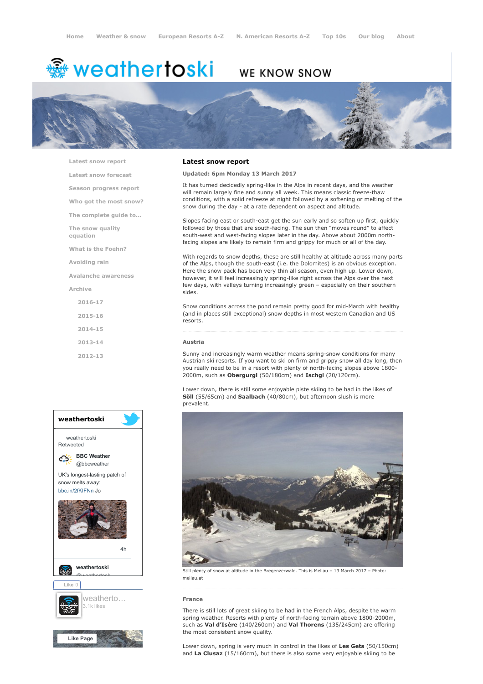# <del>鑾</del> weathertoski

# WE KNOW SNOW



[Latest snow report](https://www.weathertoski.co.uk/weather-snow/latest-snow-report/)

[Latest snow forecast](https://www.weathertoski.co.uk/weather-snow/latest-snow-forecast/)

[Season progress report](https://www.weathertoski.co.uk/weather-snow/season-progress-report/)

[Who got the most snow?](https://www.weathertoski.co.uk/weather-snow/who-got-the-most-snow/)

[The complete guide to...](https://www.weathertoski.co.uk/weather-snow/the-complete-guide-to/)

[The snow quality](https://www.weathertoski.co.uk/weather-snow/the-snow-quality-equation/) equation

[What is the Foehn?](https://www.weathertoski.co.uk/weather-snow/what-is-the-foehn/)

[Avoiding rain](https://www.weathertoski.co.uk/weather-snow/avoiding-rain/)

[Avalanche awareness](https://www.weathertoski.co.uk/weather-snow/avalanche-awareness/)

[Archive](https://www.weathertoski.co.uk/weather-snow/archive/)

[2016-17](https://www.weathertoski.co.uk/weather-snow/archive/2016-17/) [2015-16](https://www.weathertoski.co.uk/weather-snow/archive/2015-16/) [2014-15](https://www.weathertoski.co.uk/weather-snow/archive/2014-15/) [2013-14](https://www.weathertoski.co.uk/weather-snow/archive/2013-14/)

[2012-13](https://www.weathertoski.co.uk/weather-snow/archive/2012-13/)



# Latest snow report

#### Updated: 6pm Monday 13 March 2017

It has turned decidedly spring-like in the Alps in recent days, and the weather will remain largely fine and sunny all week. This means classic freeze-thaw conditions, with a solid refreeze at night followed by a softening or melting of the snow during the day - at a rate dependent on aspect and altitude.

Slopes facing east or south-east get the sun early and so soften up first, quickly followed by those that are south-facing. The sun then "moves round" to affect south-west and west-facing slopes later in the day. Above about 2000m northfacing slopes are likely to remain firm and grippy for much or all of the day.

With regards to snow depths, these are still healthy at altitude across many parts of the Alps, though the south-east (i.e. the Dolomites) is an obvious exception. Here the snow pack has been very thin all season, even high up. Lower down, however, it will feel increasingly spring-like right across the Alps over the next few days, with valleys turning increasingly green – especially on their southern sides.

Snow conditions across the pond remain pretty good for mid-March with healthy (and in places still exceptional) snow depths in most western Canadian and US resorts.

### Austria

Sunny and increasingly warm weather means spring-snow conditions for many Austrian ski resorts. If you want to ski on firm and grippy snow all day long, then you really need to be in a resort with plenty of north-facing slopes above 1800- 2000m, such as Obergurgl (50/180cm) and Ischgl (20/120cm).

Lower down, there is still some enjoyable piste skiing to be had in the likes of Söll (55/65cm) and Saalbach (40/80cm), but afternoon slush is more prevalent.



Still plenty of snow at altitude in the Bregenzerwald. This is Mellau – 13 March 2017 – Photo: mellau.at

# France

There is still lots of great skiing to be had in the French Alps, despite the warm spring weather. Resorts with plenty of north-facing terrain above 1800-2000m, such as Val d'Isère (140/260cm) and Val Thorens (135/245cm) are offering the most consistent snow quality.

Lower down, spring is very much in control in the likes of Les Gets (50/150cm) and La Clusaz (15/160cm), but there is also some very enjoyable skiing to be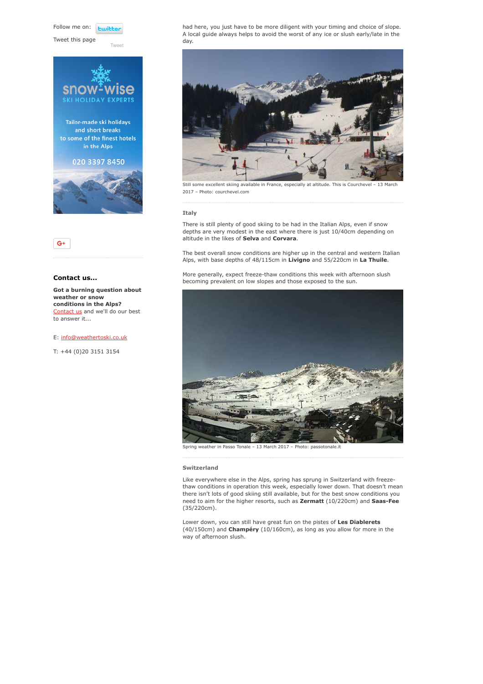Follow me on: **Luitt** 

Tweet this page

[Tweet](https://twitter.com/intent/tweet?original_referer=https%3A%2F%2Fwww.weathertoski.co.uk%2Fweather-snow%2Farchive%2Fsnow-report-13-03-2017%2F&ref_src=twsrc%5Etfw&text=Weather%20to%20ski%20-%20Snow%20report%20-%2013%20March%202017&tw_p=tweetbutton&url=https%3A%2F%2Fwww.weathertoski.co.uk%2Fweather-snow%2Farchive%2Fsnow-report-13-03-2017%2F)



 $G+$ 

# Contact us...

Got a burning question about weather or snow conditions in the Alps? [Contact us](https://www.weathertoski.co.uk/about-1/contact-us/) and we'll do our best to answer it...

E: [info@weathertoski.co.uk](mailto:fraser@weathertoski.co.uk)

T: +44 (0)20 3151 3154

had here, you just have to be more diligent with your timing and choice of slope. A local guide always helps to avoid the worst of any ice or slush early/late in the day.



Still some excellent skiing available in France, especially at altitude. This is Courchevel - 13 2017 – Photo: courchevel.com

#### **Italy**

There is still plenty of good skiing to be had in the Italian Alps, even if snow depths are very modest in the east where there is just 10/40cm depending on altitude in the likes of Selva and Corvara.

The best overall snow conditions are higher up in the central and western Italian Alps, with base depths of 48/115cm in Livigno and 55/220cm in La Thuile.

More generally, expect freeze-thaw conditions this week with afternoon slush becoming prevalent on low slopes and those exposed to the sun.



Spring weather in Passo Tonale – 13 March 2017 – Photo: passotonale.it

#### Switzerland

Like everywhere else in the Alps, spring has sprung in Switzerland with freezethaw conditions in operation this week, especially lower down. That doesn't mean there isn't lots of good skiing still available, but for the best snow conditions you need to aim for the higher resorts, such as Zermatt (10/220cm) and Saas-Fee (35/220cm).

Lower down, you can still have great fun on the pistes of Les Diablerets (40/150cm) and Champéry (10/160cm), as long as you allow for more in the way of afternoon slush.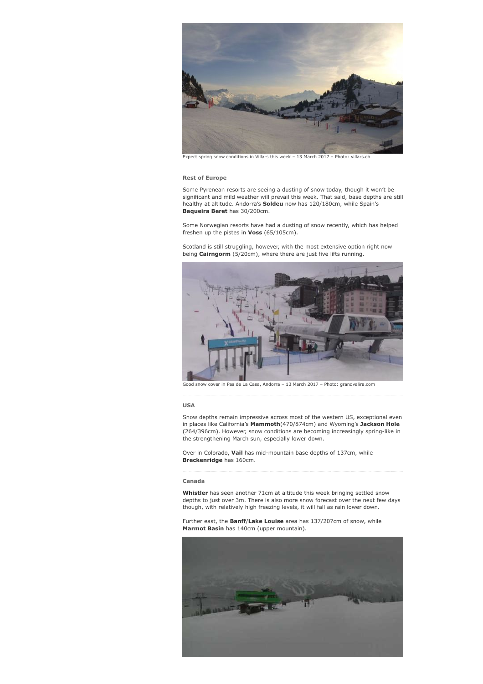

Expect spring snow conditions in Villars this week – 13 March 2017 – Photo: villars.ch

#### Rest of Europe

Some Pyrenean resorts are seeing a dusting of snow today, though it won't be significant and mild weather will prevail this week. That said, base depths are still healthy at altitude. Andorra's **Soldeu** now has 120/180cm, while Spain's Baqueira Beret has 30/200cm.

Some Norwegian resorts have had a dusting of snow recently, which has helped freshen up the pistes in Voss (65/105cm).

Scotland is still struggling, however, with the most extensive option right now being Cairngorm (5/20cm), where there are just five lifts running.



Good snow cover in Pas de La Casa, Andorra – 13 March 2017 – Photo: grandvalira.com

#### USA

Snow depths remain impressive across most of the western US, exceptional even in places like California's Mammoth(470/874cm) and Wyoming's Jackson Hole (264/396cm). However, snow conditions are becoming increasingly spring-like in the strengthening March sun, especially lower down.

Over in Colorado, Vail has mid-mountain base depths of 137cm, while Breckenridge has 160cm.

#### Canada

Whistler has seen another 71cm at altitude this week bringing settled snow depths to just over 3m. There is also more snow forecast over the next few days though, with relatively high freezing levels, it will fall as rain lower down.

Further east, the **Banff/Lake Louise** area has 137/207cm of snow, while Marmot Basin has 140cm (upper mountain).